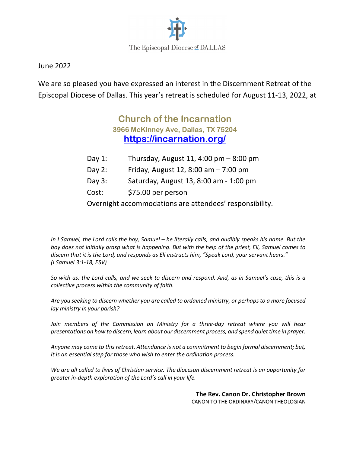

June 2022

We are so pleased you have expressed an interest in the Discernment Retreat of the Episcopal Diocese of Dallas. This year's retreat is scheduled for August 11-13, 2022, at

# **Church of the Incarnation 3966 McKinney Ave, Dallas, TX 75204 https://incarnation.org/**

- Day 1: Thursday, August 11, 4:00 pm 8:00 pm
- Day 2: Friday, August 12, 8:00 am 7:00 pm
- Day 3: Saturday, August 13, 8:00 am 1:00 pm
- Cost: \$75.00 per person

Overnight accommodations are attendees' responsibility.

*In I Samuel, the Lord calls the boy, Samuel – he literally calls, and audibly speaks his name. But the boy does not initially grasp what is happening. But with the help of the priest, Eli, Samuel comes to discern that it is the Lord, and responds as Eli instructs him, "Speak Lord, your servant hears." (I Samuel 3:1-18, ESV)*

*So with us: the Lord calls, and we seek to discern and respond. And, as in Samuel's case, this is a collective process within the community of faith.*

*Are you seeking to discern whether you are called to ordained ministry, or perhaps to a more focused lay ministry in your parish?* 

Join members of the Commission on Ministry for a three-day retreat where you will hear *presentations on how to discern, learn about our discernment process, and spend quiet time in prayer.*

*Anyone may come to this retreat. Attendance is not a commitment to begin formal discernment; but, it is an essential step for those who wish to enter the ordination process.*

*We are all called to lives of Christian service. The diocesan discernment retreat is an opportunity for greater in-depth exploration of the Lord's call in your life.*

> **The Rev. Canon Dr. Christopher Brown** CANON TO THE ORDINARY/CANON THEOLOGIAN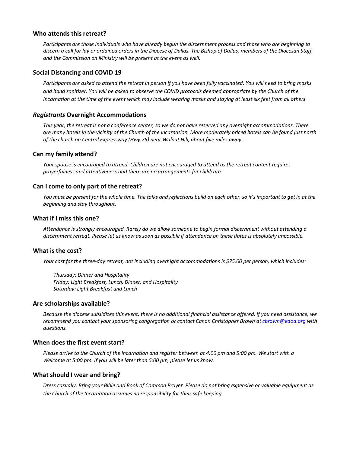#### **Who attends this retreat?**

*Participants are those individuals who have already begun the discernment process and those who are beginning to discern a call for lay or ordained orders in the Diocese of Dallas. The Bishop of Dallas, members of the Diocesan Staff, and the Commission on Ministry will be present at the event as well.*

#### **Social Distancing and COVID 19**

*Participants are asked to attend the retreat in person if you have been fully vaccinated. You will need to bring masks and hand sanitizer. You will be asked to observe the COVID protocols deemed appropriate by the Church of the Incarnation at the time of the event which may include wearing masks and staying at least six feet from all others.*

#### *Registrants* **Overnight Accommodations**

*This year, the retreat is not a conference center, so we do not have reserved any overnight accommodations. There are many hotels in the vicinity of the Church of the Incarnation. More moderately priced hotels can be found just north of the church on Central Expressway (Hwy 75) near Walnut Hill, about five miles away.*

#### **Can my family attend?**

*Your spouse is encouraged to attend. Children are not encouraged to attend as the retreat content requires prayerfulness and attentiveness and there are no arrangements for childcare.*

#### **Can I come to only part of the retreat?**

*You must be present for the whole time. The talks and reflections build on each other, so it's important to get in at the beginning and stay throughout.*

#### **What if I miss this one?**

*Attendance is strongly encouraged. Rarely do we allow someone to begin formal discernment without attending a discernment retreat. Please let us know as soon as possible if attendance on these dates is absolutely impossible.*

#### **What is the cost?**

*Your cost for the three-day retreat, not including overnight accommodations is \$75.00 per person, which includes:*

*Thursday: Dinner and Hospitality Friday: Light Breakfast, Lunch, Dinner, and Hospitality Saturday: Light Breakfast and Lunch*

#### **Are scholarships available?**

*Because the diocese subsidizes this event, there is no additional financial assistance offered. If you need assistance, we recommend you contact your sponsoring congregation or contact Canon Christopher Brown at cbrown@edod.org with questions.*

#### **When does the first event start?**

*Please arrive to the Church of the Incarnation and register between at 4:00 pm and 5:00 pm. We start with a Welcome at 5:00 pm. If you will be later than 5:00 pm, please let us know.*

#### **What should I wear and bring?**

*Dress casually. Bring your Bible and Book of Common Prayer. Please do not bring expensive or valuable equipment as the Church of the Incarnation assumes no responsibility for their safe keeping.*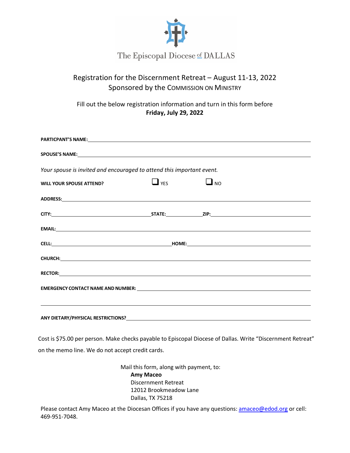

## The Episcopal Diocese of DALLAS

## Registration for the Discernment Retreat – August 11-13, 2022 Sponsored by the COMMISSION ON MINISTRY

Fill out the below registration information and turn in this form before **Friday, July 29, 2022**

| Your spouse is invited and encouraged to attend this important event.                                                |            |           |  |  |
|----------------------------------------------------------------------------------------------------------------------|------------|-----------|--|--|
| <b>WILL YOUR SPOUSE ATTEND?</b>                                                                                      | $\Box$ YES | $\Box$ NO |  |  |
|                                                                                                                      |            |           |  |  |
|                                                                                                                      |            |           |  |  |
|                                                                                                                      |            |           |  |  |
|                                                                                                                      |            |           |  |  |
|                                                                                                                      |            |           |  |  |
|                                                                                                                      |            |           |  |  |
|                                                                                                                      |            |           |  |  |
| <u> 1990 - Andrea Santa Andrea Andrea Andrea Andrea Andrea Andrea Andrea Andrea Andrea Andrea Andrea Andrea Andr</u> |            |           |  |  |
|                                                                                                                      |            |           |  |  |

Cost is \$75.00 per person. Make checks payable to Episcopal Diocese of Dallas. Write "Discernment Retreat" on the memo line. We do not accept credit cards.

> Mail this form, along with payment, to: **Amy Maceo** Discernment Retreat 12012 Brookmeadow Lane Dallas, TX 75218

Please contact Amy Maceo at the Diocesan Offices if you have any questions: amaceo@edod.org or cell: 469-951-7048.